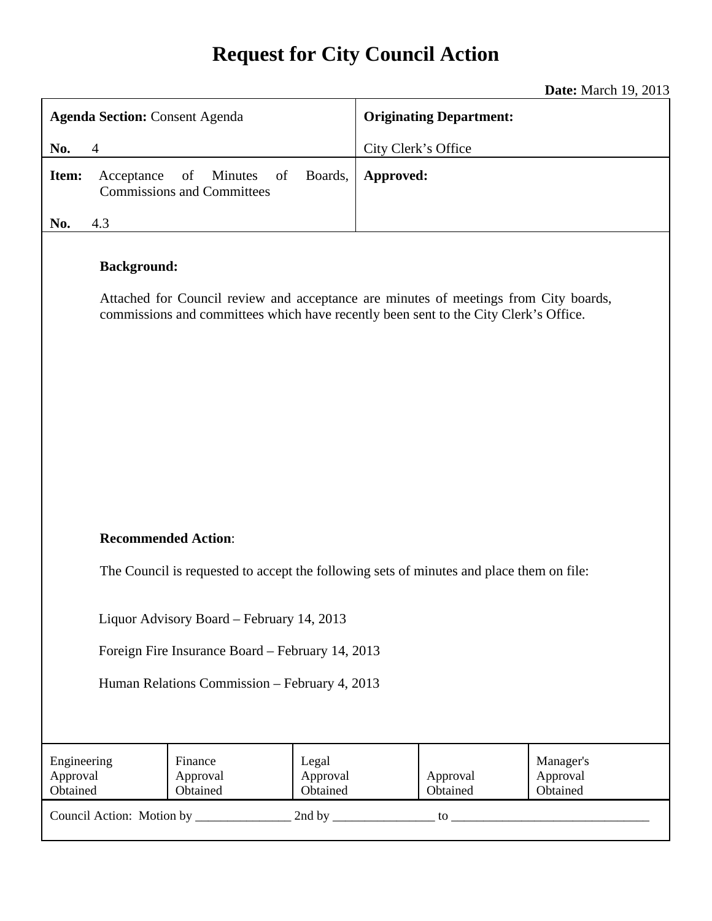# **Request for City Council Action**

**Date:** March 19, 2013

| <b>Agenda Section: Consent Agenda</b>                                                                                                                                                              | <b>Originating Department:</b>                            |
|----------------------------------------------------------------------------------------------------------------------------------------------------------------------------------------------------|-----------------------------------------------------------|
| $\overline{4}$<br>No.                                                                                                                                                                              | City Clerk's Office                                       |
| Boards,<br>Item:<br>Acceptance<br>of<br>Minutes<br>of<br><b>Commissions and Committees</b>                                                                                                         | Approved:                                                 |
| 4.3<br>No.                                                                                                                                                                                         |                                                           |
| <b>Background:</b><br>Attached for Council review and acceptance are minutes of meetings from City boards,<br>commissions and committees which have recently been sent to the City Clerk's Office. |                                                           |
| <b>Recommended Action:</b><br>The Council is requested to accept the following sets of minutes and place them on file:<br>Liquor Advisory Board - February 14, 2013                                |                                                           |
| Foreign Fire Insurance Board - February 14, 2013                                                                                                                                                   |                                                           |
| Human Relations Commission - February 4, 2013                                                                                                                                                      |                                                           |
| Engineering<br>Finance<br>Legal<br>Approval<br>Approval<br>Approval<br>Obtained<br>Obtained<br>Obtained                                                                                            | Manager's<br>Approval<br>Approval<br>Obtained<br>Obtained |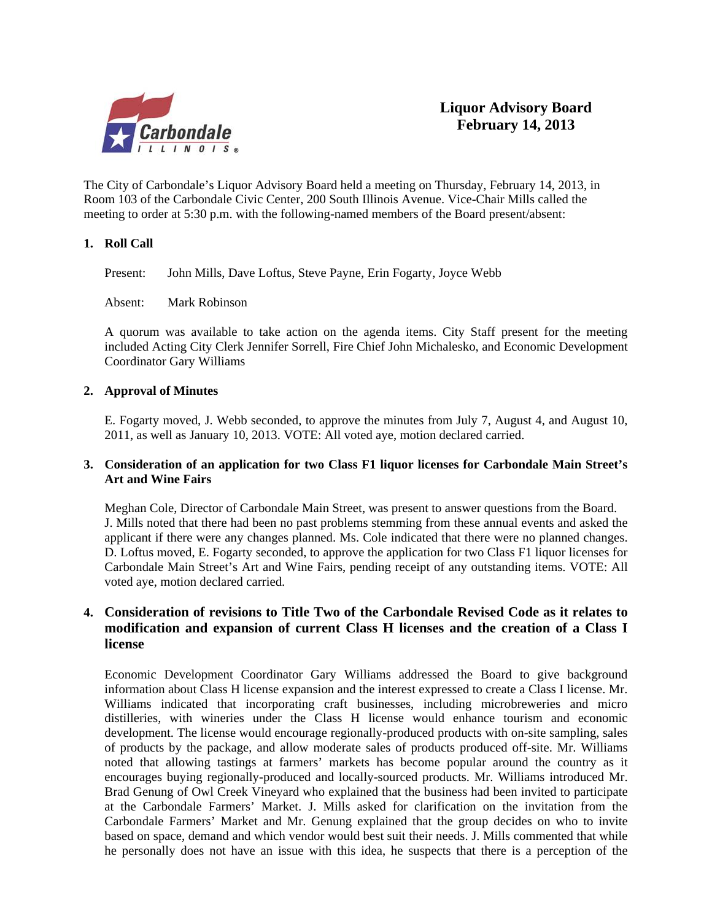

The City of Carbondale's Liquor Advisory Board held a meeting on Thursday, February 14, 2013, in Room 103 of the Carbondale Civic Center, 200 South Illinois Avenue. Vice-Chair Mills called the meeting to order at 5:30 p.m. with the following-named members of the Board present/absent:

#### **1. Roll Call**

Present: John Mills, Dave Loftus, Steve Payne, Erin Fogarty, Joyce Webb

Absent: Mark Robinson

A quorum was available to take action on the agenda items. City Staff present for the meeting included Acting City Clerk Jennifer Sorrell, Fire Chief John Michalesko, and Economic Development Coordinator Gary Williams

#### **2. Approval of Minutes**

E. Fogarty moved, J. Webb seconded, to approve the minutes from July 7, August 4, and August 10, 2011, as well as January 10, 2013. VOTE: All voted aye, motion declared carried.

#### **3. Consideration of an application for two Class F1 liquor licenses for Carbondale Main Street's Art and Wine Fairs**

 Meghan Cole, Director of Carbondale Main Street, was present to answer questions from the Board. J. Mills noted that there had been no past problems stemming from these annual events and asked the applicant if there were any changes planned. Ms. Cole indicated that there were no planned changes. D. Loftus moved, E. Fogarty seconded, to approve the application for two Class F1 liquor licenses for Carbondale Main Street's Art and Wine Fairs, pending receipt of any outstanding items. VOTE: All voted aye, motion declared carried.

## **4. Consideration of revisions to Title Two of the Carbondale Revised Code as it relates to modification and expansion of current Class H licenses and the creation of a Class I license**

Economic Development Coordinator Gary Williams addressed the Board to give background information about Class H license expansion and the interest expressed to create a Class I license. Mr. Williams indicated that incorporating craft businesses, including microbreweries and micro distilleries, with wineries under the Class H license would enhance tourism and economic development. The license would encourage regionally-produced products with on-site sampling, sales of products by the package, and allow moderate sales of products produced off-site. Mr. Williams noted that allowing tastings at farmers' markets has become popular around the country as it encourages buying regionally-produced and locally-sourced products. Mr. Williams introduced Mr. Brad Genung of Owl Creek Vineyard who explained that the business had been invited to participate at the Carbondale Farmers' Market. J. Mills asked for clarification on the invitation from the Carbondale Farmers' Market and Mr. Genung explained that the group decides on who to invite based on space, demand and which vendor would best suit their needs. J. Mills commented that while he personally does not have an issue with this idea, he suspects that there is a perception of the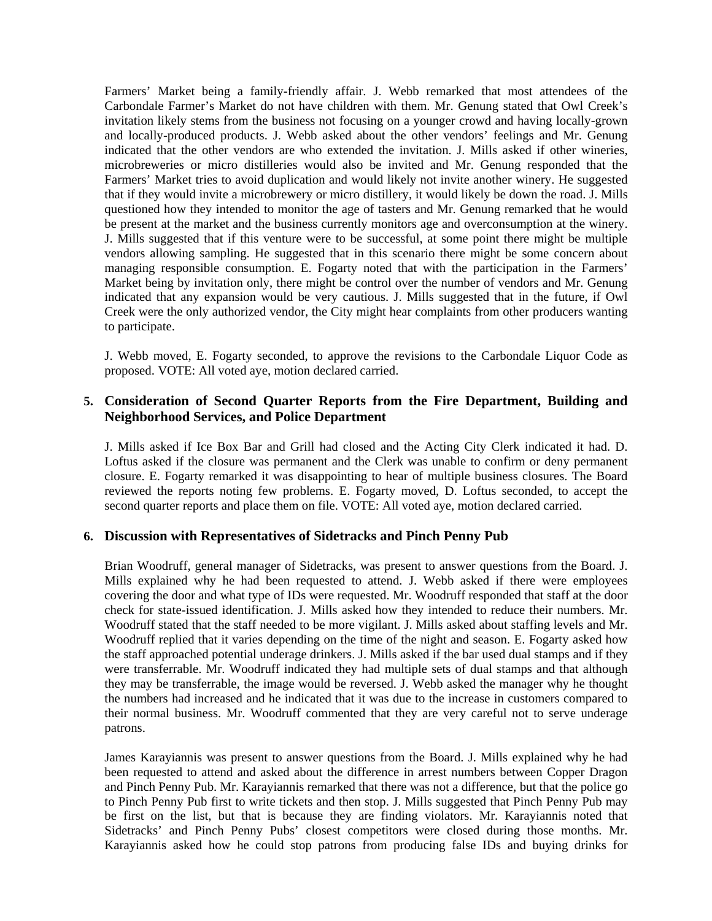Farmers' Market being a family-friendly affair. J. Webb remarked that most attendees of the Carbondale Farmer's Market do not have children with them. Mr. Genung stated that Owl Creek's invitation likely stems from the business not focusing on a younger crowd and having locally-grown and locally-produced products. J. Webb asked about the other vendors' feelings and Mr. Genung indicated that the other vendors are who extended the invitation. J. Mills asked if other wineries, microbreweries or micro distilleries would also be invited and Mr. Genung responded that the Farmers' Market tries to avoid duplication and would likely not invite another winery. He suggested that if they would invite a microbrewery or micro distillery, it would likely be down the road. J. Mills questioned how they intended to monitor the age of tasters and Mr. Genung remarked that he would be present at the market and the business currently monitors age and overconsumption at the winery. J. Mills suggested that if this venture were to be successful, at some point there might be multiple vendors allowing sampling. He suggested that in this scenario there might be some concern about managing responsible consumption. E. Fogarty noted that with the participation in the Farmers' Market being by invitation only, there might be control over the number of vendors and Mr. Genung indicated that any expansion would be very cautious. J. Mills suggested that in the future, if Owl Creek were the only authorized vendor, the City might hear complaints from other producers wanting to participate.

 J. Webb moved, E. Fogarty seconded, to approve the revisions to the Carbondale Liquor Code as proposed. VOTE: All voted aye, motion declared carried.

#### **5. Consideration of Second Quarter Reports from the Fire Department, Building and Neighborhood Services, and Police Department**

 J. Mills asked if Ice Box Bar and Grill had closed and the Acting City Clerk indicated it had. D. Loftus asked if the closure was permanent and the Clerk was unable to confirm or deny permanent closure. E. Fogarty remarked it was disappointing to hear of multiple business closures. The Board reviewed the reports noting few problems. E. Fogarty moved, D. Loftus seconded, to accept the second quarter reports and place them on file. VOTE: All voted aye, motion declared carried.

#### **6. Discussion with Representatives of Sidetracks and Pinch Penny Pub**

Brian Woodruff, general manager of Sidetracks, was present to answer questions from the Board. J. Mills explained why he had been requested to attend. J. Webb asked if there were employees covering the door and what type of IDs were requested. Mr. Woodruff responded that staff at the door check for state-issued identification. J. Mills asked how they intended to reduce their numbers. Mr. Woodruff stated that the staff needed to be more vigilant. J. Mills asked about staffing levels and Mr. Woodruff replied that it varies depending on the time of the night and season. E. Fogarty asked how the staff approached potential underage drinkers. J. Mills asked if the bar used dual stamps and if they were transferrable. Mr. Woodruff indicated they had multiple sets of dual stamps and that although they may be transferrable, the image would be reversed. J. Webb asked the manager why he thought the numbers had increased and he indicated that it was due to the increase in customers compared to their normal business. Mr. Woodruff commented that they are very careful not to serve underage patrons.

 James Karayiannis was present to answer questions from the Board. J. Mills explained why he had been requested to attend and asked about the difference in arrest numbers between Copper Dragon and Pinch Penny Pub. Mr. Karayiannis remarked that there was not a difference, but that the police go to Pinch Penny Pub first to write tickets and then stop. J. Mills suggested that Pinch Penny Pub may be first on the list, but that is because they are finding violators. Mr. Karayiannis noted that Sidetracks' and Pinch Penny Pubs' closest competitors were closed during those months. Mr. Karayiannis asked how he could stop patrons from producing false IDs and buying drinks for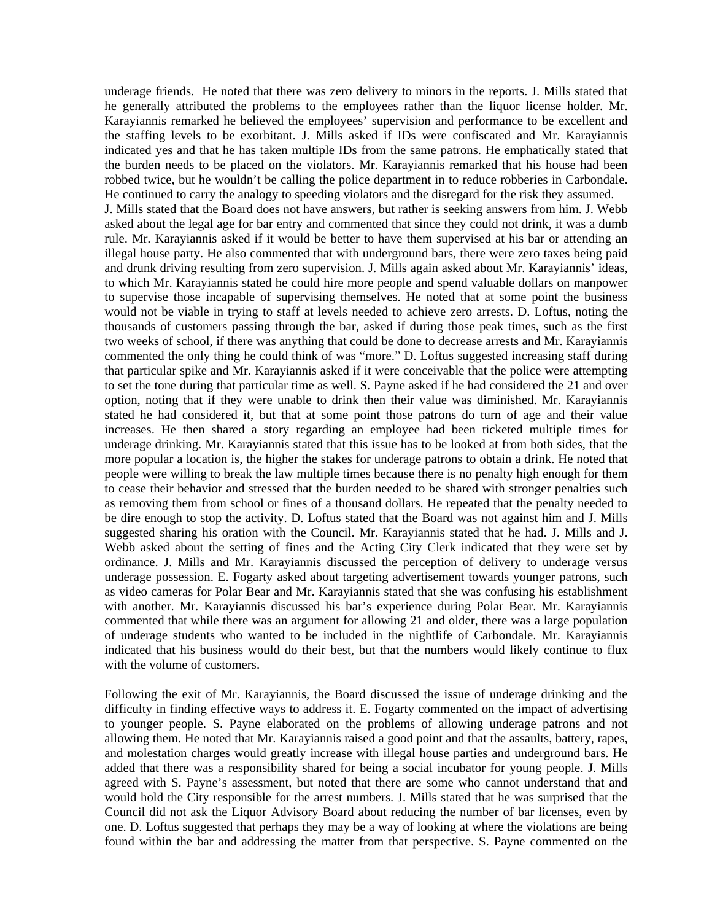underage friends. He noted that there was zero delivery to minors in the reports. J. Mills stated that he generally attributed the problems to the employees rather than the liquor license holder. Mr. Karayiannis remarked he believed the employees' supervision and performance to be excellent and the staffing levels to be exorbitant. J. Mills asked if IDs were confiscated and Mr. Karayiannis indicated yes and that he has taken multiple IDs from the same patrons. He emphatically stated that the burden needs to be placed on the violators. Mr. Karayiannis remarked that his house had been robbed twice, but he wouldn't be calling the police department in to reduce robberies in Carbondale. He continued to carry the analogy to speeding violators and the disregard for the risk they assumed. J. Mills stated that the Board does not have answers, but rather is seeking answers from him. J. Webb asked about the legal age for bar entry and commented that since they could not drink, it was a dumb rule. Mr. Karayiannis asked if it would be better to have them supervised at his bar or attending an illegal house party. He also commented that with underground bars, there were zero taxes being paid and drunk driving resulting from zero supervision. J. Mills again asked about Mr. Karayiannis' ideas, to which Mr. Karayiannis stated he could hire more people and spend valuable dollars on manpower to supervise those incapable of supervising themselves. He noted that at some point the business would not be viable in trying to staff at levels needed to achieve zero arrests. D. Loftus, noting the thousands of customers passing through the bar, asked if during those peak times, such as the first two weeks of school, if there was anything that could be done to decrease arrests and Mr. Karayiannis commented the only thing he could think of was "more." D. Loftus suggested increasing staff during that particular spike and Mr. Karayiannis asked if it were conceivable that the police were attempting to set the tone during that particular time as well. S. Payne asked if he had considered the 21 and over option, noting that if they were unable to drink then their value was diminished. Mr. Karayiannis stated he had considered it, but that at some point those patrons do turn of age and their value increases. He then shared a story regarding an employee had been ticketed multiple times for underage drinking. Mr. Karayiannis stated that this issue has to be looked at from both sides, that the more popular a location is, the higher the stakes for underage patrons to obtain a drink. He noted that people were willing to break the law multiple times because there is no penalty high enough for them to cease their behavior and stressed that the burden needed to be shared with stronger penalties such as removing them from school or fines of a thousand dollars. He repeated that the penalty needed to be dire enough to stop the activity. D. Loftus stated that the Board was not against him and J. Mills suggested sharing his oration with the Council. Mr. Karayiannis stated that he had. J. Mills and J. Webb asked about the setting of fines and the Acting City Clerk indicated that they were set by ordinance. J. Mills and Mr. Karayiannis discussed the perception of delivery to underage versus underage possession. E. Fogarty asked about targeting advertisement towards younger patrons, such as video cameras for Polar Bear and Mr. Karayiannis stated that she was confusing his establishment with another. Mr. Karayiannis discussed his bar's experience during Polar Bear. Mr. Karayiannis commented that while there was an argument for allowing 21 and older, there was a large population of underage students who wanted to be included in the nightlife of Carbondale. Mr. Karayiannis indicated that his business would do their best, but that the numbers would likely continue to flux with the volume of customers.

 Following the exit of Mr. Karayiannis, the Board discussed the issue of underage drinking and the difficulty in finding effective ways to address it. E. Fogarty commented on the impact of advertising to younger people. S. Payne elaborated on the problems of allowing underage patrons and not allowing them. He noted that Mr. Karayiannis raised a good point and that the assaults, battery, rapes, and molestation charges would greatly increase with illegal house parties and underground bars. He added that there was a responsibility shared for being a social incubator for young people. J. Mills agreed with S. Payne's assessment, but noted that there are some who cannot understand that and would hold the City responsible for the arrest numbers. J. Mills stated that he was surprised that the Council did not ask the Liquor Advisory Board about reducing the number of bar licenses, even by one. D. Loftus suggested that perhaps they may be a way of looking at where the violations are being found within the bar and addressing the matter from that perspective. S. Payne commented on the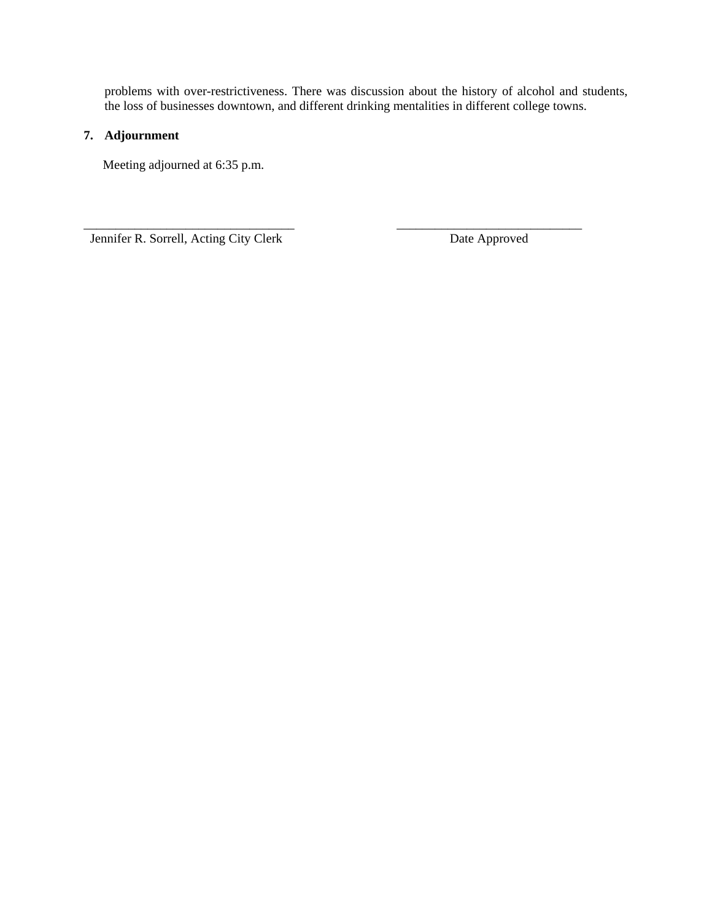problems with over-restrictiveness. There was discussion about the history of alcohol and students, the loss of businesses downtown, and different drinking mentalities in different college towns.

\_\_\_\_\_\_\_\_\_\_\_\_\_\_\_\_\_\_\_\_\_\_\_\_\_\_\_\_\_\_\_\_\_ \_\_\_\_\_\_\_\_\_\_\_\_\_\_\_\_\_\_\_\_\_\_\_\_\_\_\_\_\_

## **7. Adjournment**

Meeting adjourned at 6:35 p.m.

Jennifer R. Sorrell, Acting City Clerk Date Approved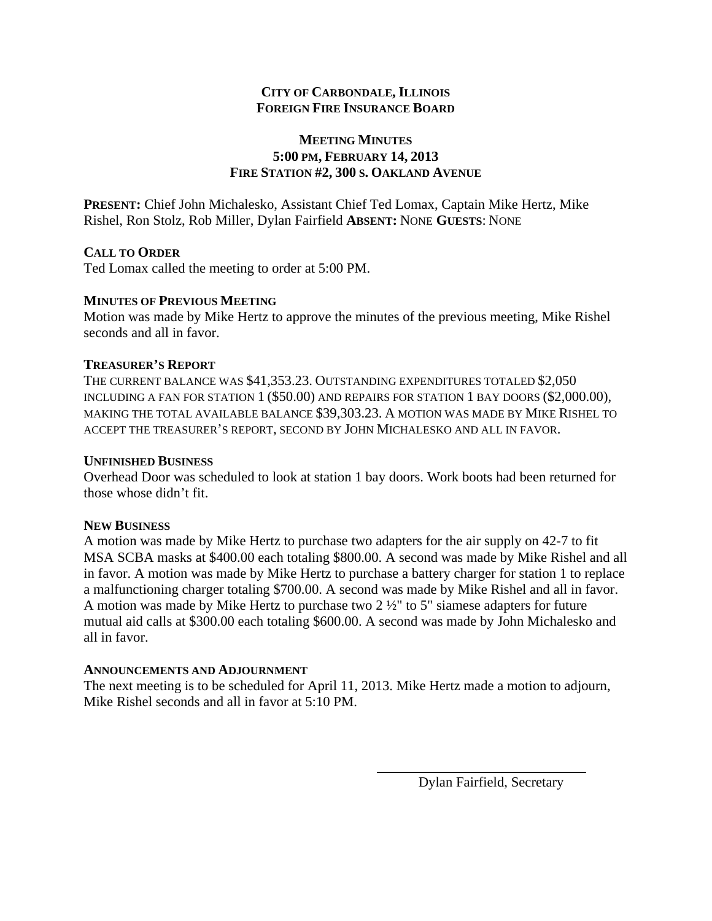## **CITY OF CARBONDALE, ILLINOIS FOREIGN FIRE INSURANCE BOARD**

## **MEETING MINUTES 5:00 PM, FEBRUARY 14, 2013 FIRE STATION #2, 300 S. OAKLAND AVENUE**

**PRESENT:** Chief John Michalesko, Assistant Chief Ted Lomax, Captain Mike Hertz, Mike Rishel, Ron Stolz, Rob Miller, Dylan Fairfield **ABSENT:** NONE **GUESTS**: NONE

## **CALL TO ORDER**

Ted Lomax called the meeting to order at 5:00 PM.

## **MINUTES OF PREVIOUS MEETING**

Motion was made by Mike Hertz to approve the minutes of the previous meeting, Mike Rishel seconds and all in favor.

## **TREASURER'S REPORT**

THE CURRENT BALANCE WAS \$41,353.23. OUTSTANDING EXPENDITURES TOTALED \$2,050 INCLUDING A FAN FOR STATION 1 (\$50.00) AND REPAIRS FOR STATION 1 BAY DOORS (\$2,000.00), MAKING THE TOTAL AVAILABLE BALANCE \$39,303.23. A MOTION WAS MADE BY MIKE RISHEL TO ACCEPT THE TREASURER'S REPORT, SECOND BY JOHN MICHALESKO AND ALL IN FAVOR.

## **UNFINISHED BUSINESS**

Overhead Door was scheduled to look at station 1 bay doors. Work boots had been returned for those whose didn't fit.

## **NEW BUSINESS**

A motion was made by Mike Hertz to purchase two adapters for the air supply on 42-7 to fit MSA SCBA masks at \$400.00 each totaling \$800.00. A second was made by Mike Rishel and all in favor. A motion was made by Mike Hertz to purchase a battery charger for station 1 to replace a malfunctioning charger totaling \$700.00. A second was made by Mike Rishel and all in favor. A motion was made by Mike Hertz to purchase two 2 ½" to 5" siamese adapters for future mutual aid calls at \$300.00 each totaling \$600.00. A second was made by John Michalesko and all in favor.

## **ANNOUNCEMENTS AND ADJOURNMENT**

The next meeting is to be scheduled for April 11, 2013. Mike Hertz made a motion to adjourn, Mike Rishel seconds and all in favor at 5:10 PM.

Dylan Fairfield, Secretary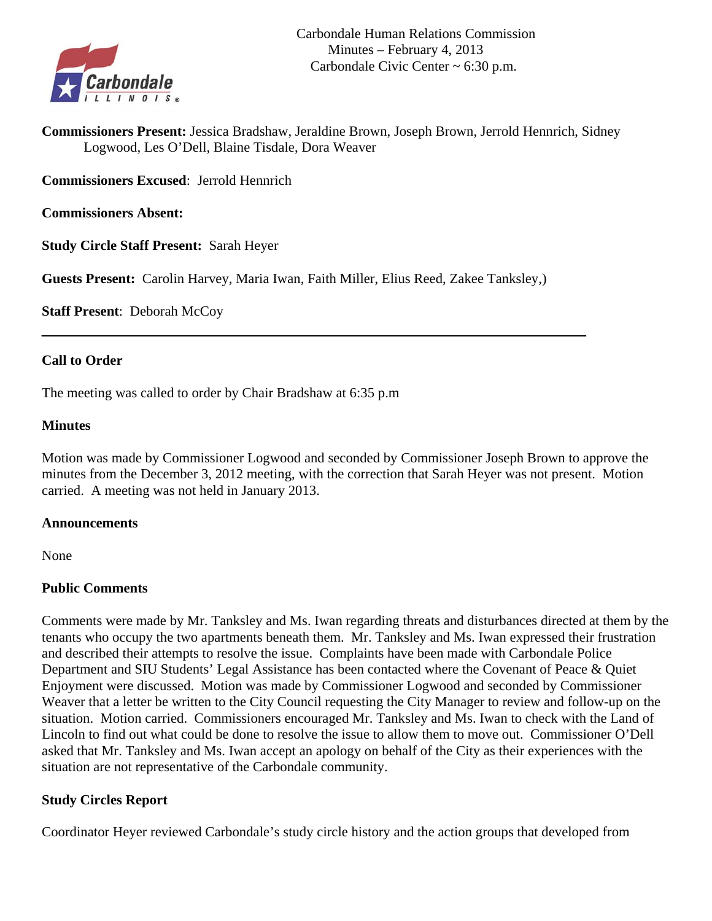

**Commissioners Present:** Jessica Bradshaw, Jeraldine Brown, Joseph Brown, Jerrold Hennrich, Sidney Logwood, Les O'Dell, Blaine Tisdale, Dora Weaver

**Commissioners Excused**: Jerrold Hennrich

**Commissioners Absent:**

**Study Circle Staff Present:** Sarah Heyer

**Guests Present:** Carolin Harvey, Maria Iwan, Faith Miller, Elius Reed, Zakee Tanksley,)

**Staff Present**: Deborah McCoy

## **Call to Order**

The meeting was called to order by Chair Bradshaw at 6:35 p.m

## **Minutes**

Motion was made by Commissioner Logwood and seconded by Commissioner Joseph Brown to approve the minutes from the December 3, 2012 meeting, with the correction that Sarah Heyer was not present. Motion carried. A meeting was not held in January 2013.

## **Announcements**

None

## **Public Comments**

Comments were made by Mr. Tanksley and Ms. Iwan regarding threats and disturbances directed at them by the tenants who occupy the two apartments beneath them. Mr. Tanksley and Ms. Iwan expressed their frustration and described their attempts to resolve the issue. Complaints have been made with Carbondale Police Department and SIU Students' Legal Assistance has been contacted where the Covenant of Peace & Quiet Enjoyment were discussed. Motion was made by Commissioner Logwood and seconded by Commissioner Weaver that a letter be written to the City Council requesting the City Manager to review and follow-up on the situation. Motion carried. Commissioners encouraged Mr. Tanksley and Ms. Iwan to check with the Land of Lincoln to find out what could be done to resolve the issue to allow them to move out. Commissioner O'Dell asked that Mr. Tanksley and Ms. Iwan accept an apology on behalf of the City as their experiences with the situation are not representative of the Carbondale community.

# **Study Circles Report**

Coordinator Heyer reviewed Carbondale's study circle history and the action groups that developed from